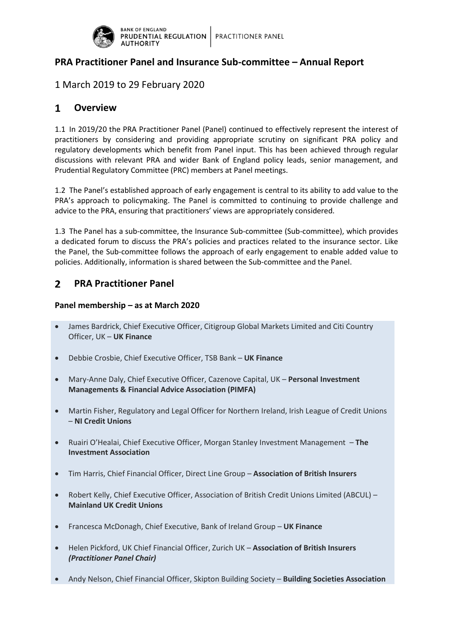

# **PRA Practitioner Panel and Insurance Sub-committee – Annual Report**

# 1 March 2019 to 29 February 2020

#### $\mathbf{1}$ **Overview**

1.1 In 2019/20 the PRA Practitioner Panel (Panel) continued to effectively represent the interest of practitioners by considering and providing appropriate scrutiny on significant PRA policy and regulatory developments which benefit from Panel input. This has been achieved through regular discussions with relevant PRA and wider Bank of England policy leads, senior management, and Prudential Regulatory Committee (PRC) members at Panel meetings.

1.2 The Panel's established approach of early engagement is central to its ability to add value to the PRA's approach to policymaking. The Panel is committed to continuing to provide challenge and advice to the PRA, ensuring that practitioners' views are appropriately considered.

1.3 The Panel has a sub-committee, the Insurance Sub-committee (Sub-committee), which provides a dedicated forum to discuss the PRA's policies and practices related to the insurance sector. Like the Panel, the Sub-committee follows the approach of early engagement to enable added value to policies. Additionally, information is shared between the Sub-committee and the Panel.

#### $2<sup>1</sup>$ **PRA Practitioner Panel**

## **Panel membership – as at March 2020**

- James Bardrick, Chief Executive Officer, Citigroup Global Markets Limited and Citi Country Officer, UK – **UK Finance**
- Debbie Crosbie, Chief Executive Officer, TSB Bank **UK Finance**
- Mary-Anne Daly, Chief Executive Officer, Cazenove Capital, UK **Personal Investment Managements & Financial Advice Association (PIMFA)**
- Martin Fisher, Regulatory and Legal Officer for Northern Ireland, Irish League of Credit Unions – **NI Credit Unions**
- Ruairi O'Healai, Chief Executive Officer, Morgan Stanley Investment Management **The Investment Association**
- Tim Harris, Chief Financial Officer, Direct Line Group **Association of British Insurers**
- Robert Kelly, Chief Executive Officer, Association of British Credit Unions Limited (ABCUL) **Mainland UK Credit Unions**
- Francesca McDonagh, Chief Executive, Bank of Ireland Group **UK Finance**
- Helen Pickford, UK Chief Financial Officer, Zurich UK **Association of British Insurers** *(Practitioner Panel Chair)*
- Andy Nelson, Chief Financial Officer, Skipton Building Society **Building Societies Association**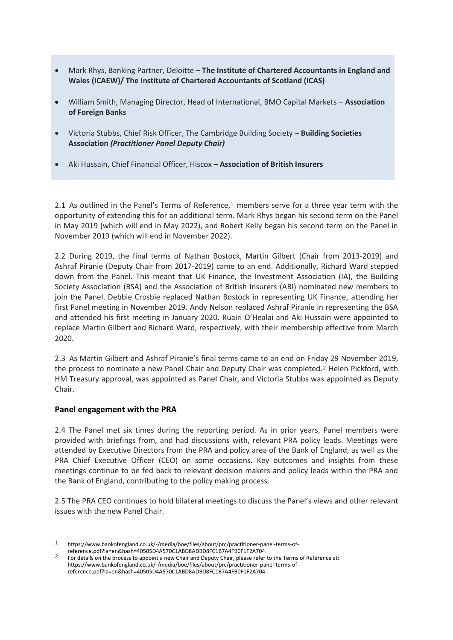- Mark Rhys, Banking Partner, Deloitte **The Institute of Chartered Accountants in England and Wales (ICAEW)/ The Institute of Chartered Accountants of Scotland (ICAS)**
- William Smith, Managing Director, Head of International, BMO Capital Markets **Association of Foreign Banks**
- Victoria Stubbs, Chief Risk Officer, The Cambridge Building Society **Building Societies Association** *(Practitioner Panel Deputy Chair)*
- Aki Hussain, Chief Financial Officer, Hiscox **Association of British Insurers**

2.1 As outlined in the Panel's Terms of Reference,<sup>1</sup> members serve for a three year term with the opportunity of extending this for an additional term. Mark Rhys began his second term on the Panel in May 2019 (which will end in May 2022), and Robert Kelly began his second term on the Panel in November 2019 (which will end in November 2022).

2.2 During 2019, the final terms of Nathan Bostock, Martin Gilbert (Chair from 2013-2019) and Ashraf Piranie (Deputy Chair from 2017-2019) came to an end. Additionally, Richard Ward stepped down from the Panel. This meant that UK Finance, the Investment Association (IA), the Building Society Association (BSA) and the Association of British Insurers (ABI) nominated new members to join the Panel. Debbie Crosbie replaced Nathan Bostock in representing UK Finance, attending her first Panel meeting in November 2019. Andy Nelson replaced Ashraf Piranie in representing the BSA and attended his first meeting in January 2020. Ruairi O'Healai and Aki Hussain were appointed to replace Martin Gilbert and Richard Ward, respectively, with their membership effective from March 2020.

2.3 As Martin Gilbert and Ashraf Piranie's final terms came to an end on Friday 29 November 2019, the process to nominate a new Panel Chair and Deputy Chair was completed.2 Helen Pickford, with HM Treasury approval, was appointed as Panel Chair, and Victoria Stubbs was appointed as Deputy Chair.

### **Panel engagement with the PRA**

2.4 The Panel met six times during the reporting period. As in prior years, Panel members were provided with briefings from, and had discussions with, relevant PRA policy leads. Meetings were attended by Executive Directors from the PRA and policy area of the Bank of England, as well as the PRA Chief Executive Officer (CEO) on some occasions. Key outcomes and insights from these meetings continue to be fed back to relevant decision makers and policy leads within the PRA and the Bank of England, contributing to the policy making process.

2.5 The PRA CEO continues to hold bilateral meetings to discuss the Panel's views and other relevant issues with the new Panel Chair.

 $\mathbf{1}$ 1 https://www.bankofengland.co.uk/-/media/boe/files/about/prc/practitioner-panel-terms-of-

reference.pdf?la=en&hash=40505D4A570C1ABD8ADBD8FC1B7A4FB0F1F2A704.

<sup>2</sup> For details on the process to appoint a new Chair and Deputy Chair, please refer to the Terms of Reference at: https://www.bankofengland.co.uk/-/media/boe/files/about/prc/practitioner-panel-terms-ofreference.pdf?la=en&hash=40505D4A570C1ABD8ADBD8FC1B7A4FB0F1F2A704.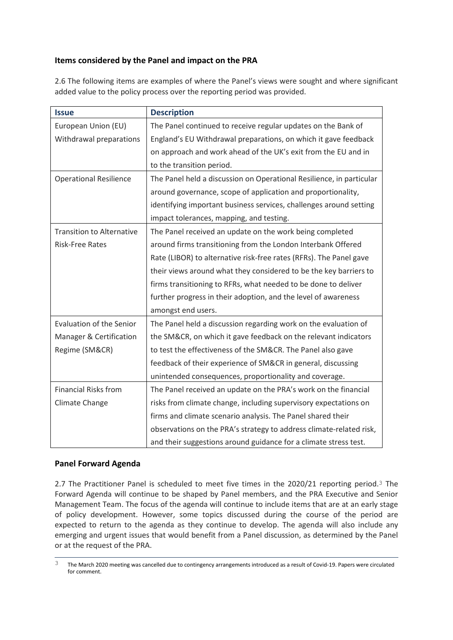# **Items considered by the Panel and impact on the PRA**

2.6 The following items are examples of where the Panel's views were sought and where significant added value to the policy process over the reporting period was provided.

| <b>Issue</b>                     | <b>Description</b>                                                   |
|----------------------------------|----------------------------------------------------------------------|
| European Union (EU)              | The Panel continued to receive regular updates on the Bank of        |
| Withdrawal preparations          | England's EU Withdrawal preparations, on which it gave feedback      |
|                                  | on approach and work ahead of the UK's exit from the EU and in       |
|                                  | to the transition period.                                            |
| <b>Operational Resilience</b>    | The Panel held a discussion on Operational Resilience, in particular |
|                                  | around governance, scope of application and proportionality,         |
|                                  | identifying important business services, challenges around setting   |
|                                  | impact tolerances, mapping, and testing.                             |
| <b>Transition to Alternative</b> | The Panel received an update on the work being completed             |
| <b>Risk-Free Rates</b>           | around firms transitioning from the London Interbank Offered         |
|                                  | Rate (LIBOR) to alternative risk-free rates (RFRs). The Panel gave   |
|                                  | their views around what they considered to be the key barriers to    |
|                                  | firms transitioning to RFRs, what needed to be done to deliver       |
|                                  | further progress in their adoption, and the level of awareness       |
|                                  | amongst end users.                                                   |
| <b>Evaluation of the Senior</b>  | The Panel held a discussion regarding work on the evaluation of      |
| Manager & Certification          | the SM&CR, on which it gave feedback on the relevant indicators      |
| Regime (SM&CR)                   | to test the effectiveness of the SM&CR. The Panel also gave          |
|                                  | feedback of their experience of SM&CR in general, discussing         |
|                                  | unintended consequences, proportionality and coverage.               |
| <b>Financial Risks from</b>      | The Panel received an update on the PRA's work on the financial      |
| Climate Change                   | risks from climate change, including supervisory expectations on     |
|                                  | firms and climate scenario analysis. The Panel shared their          |
|                                  | observations on the PRA's strategy to address climate-related risk,  |
|                                  | and their suggestions around guidance for a climate stress test.     |

## **Panel Forward Agenda**

2.7 The Practitioner Panel is scheduled to meet five times in the 2020/21 reporting period.<sup>3</sup> The Forward Agenda will continue to be shaped by Panel members, and the PRA Executive and Senior Management Team. The focus of the agenda will continue to include items that are at an early stage of policy development. However, some topics discussed during the course of the period are expected to return to the agenda as they continue to develop. The agenda will also include any emerging and urgent issues that would benefit from a Panel discussion, as determined by the Panel or at the request of the PRA.

 $\mathcal{L}$ 3 The March 2020 meeting was cancelled due to contingency arrangements introduced as a result of Covid-19. Papers were circulated for comment.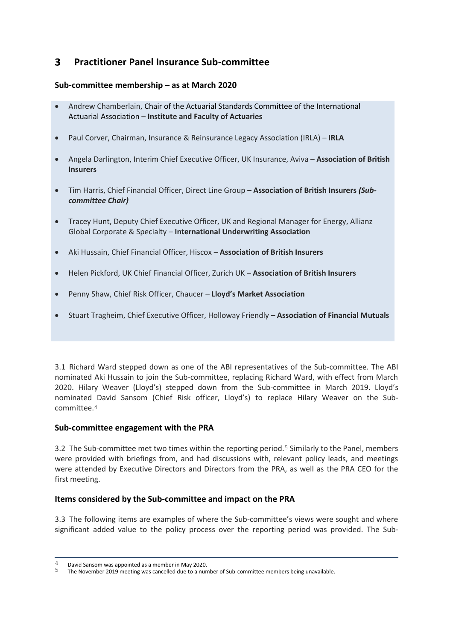#### $\overline{\mathbf{3}}$ **Practitioner Panel Insurance Sub-committee**

## **Sub-committee membership – as at March 2020**

- Andrew Chamberlain, Chair of the Actuarial Standards Committee of the International Actuarial Association – **Institute and Faculty of Actuaries**
- Paul Corver, Chairman, Insurance & Reinsurance Legacy Association (IRLA) **IRLA**
- Angela Darlington, Interim Chief Executive Officer, UK Insurance, Aviva **Association of British Insurers**
- Tim Harris, Chief Financial Officer, Direct Line Group **Association of British Insurers** *(Subcommittee Chair)*
- Tracey Hunt, Deputy Chief Executive Officer, UK and Regional Manager for Energy, Allianz Global Corporate & Specialty – **International Underwriting Association**
- Aki Hussain, Chief Financial Officer, Hiscox **Association of British Insurers**
- Helen Pickford, UK Chief Financial Officer, Zurich UK **Association of British Insurers**
- Penny Shaw, Chief Risk Officer, Chaucer **Lloyd's Market Association**
- Stuart Tragheim, Chief Executive Officer, Holloway Friendly **Association of Financial Mutuals**

3.1 Richard Ward stepped down as one of the ABI representatives of the Sub-committee. The ABI nominated Aki Hussain to join the Sub-committee, replacing Richard Ward, with effect from March 2020. Hilary Weaver (Lloyd's) stepped down from the Sub-committee in March 2019. Lloyd's nominated David Sansom (Chief Risk officer, Lloyd's) to replace Hilary Weaver on the Subcommittee.4

### **Sub-committee engagement with the PRA**

3.2 The Sub-committee met two times within the reporting period.5 Similarly to the Panel, members were provided with briefings from, and had discussions with, relevant policy leads, and meetings were attended by Executive Directors and Directors from the PRA, as well as the PRA CEO for the first meeting.

### **Items considered by the Sub-committee and impact on the PRA**

3.3 The following items are examples of where the Sub-committee's views were sought and where significant added value to the policy process over the reporting period was provided. The Sub-

 $\overline{a}$ 

 $\frac{4}{5}$  David Sansom was appointed as a member in May 2020.

<sup>5</sup> The November 2019 meeting was cancelled due to a number of Sub-committee members being unavailable.